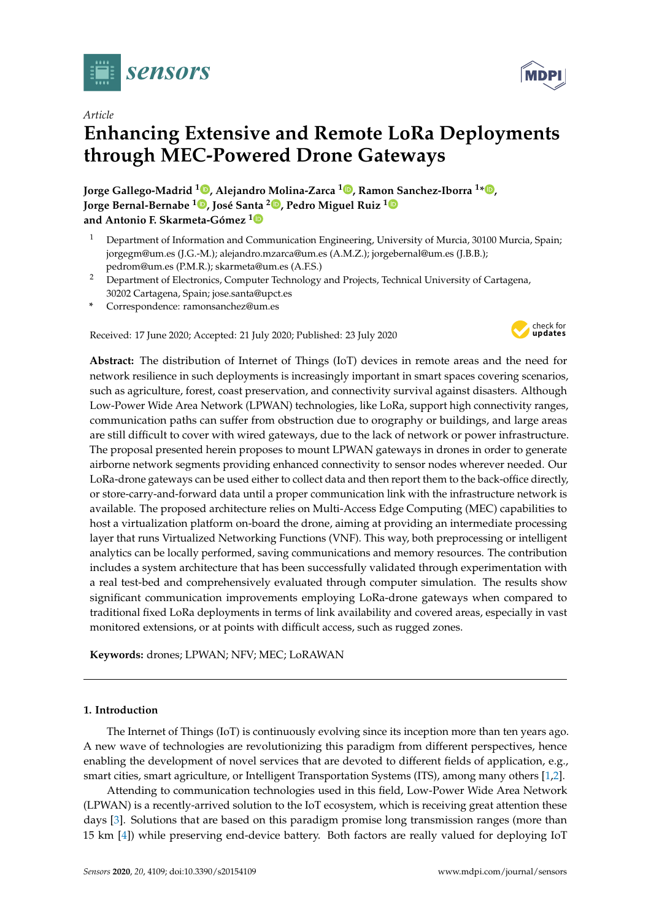

*Article*

# **Enhancing Extensive and Remote LoRa Deployments through MEC-Powered Drone Gateways**

**Jorge Gallego-Madrid <sup>1</sup> [,](https://orcid.org/0000-0001-9429-8634) Alejandro Molina-Zarca <sup>1</sup> [,](https://orcid.org/0000-0003-0038-9012) Ramon Sanchez-Iborra <sup>1</sup> [\\*](https://orcid.org/0000-0002-0069-3017) , Jorge Bernal-Bernabe <sup>1</sup> [,](https://orcid.org/0000-0002-7538-4788) José Santa <sup>2</sup> [,](https://orcid.org/0000-0001-9224-7112) Pedro Miguel Ruiz [1](https://orcid.org/0000-0002-2263-1327) and Antonio F. Skarmeta-Gómez [1](https://orcid.org/0000-0002-5525-1259)**

- <sup>1</sup> Department of Information and Communication Engineering, University of Murcia, 30100 Murcia, Spain; jorgegm@um.es (J.G.-M.); alejandro.mzarca@um.es (A.M.Z.); jorgebernal@um.es (J.B.B.); pedrom@um.es (P.M.R.); skarmeta@um.es (A.F.S.)
- <sup>2</sup> Department of Electronics, Computer Technology and Projects, Technical University of Cartagena, 30202 Cartagena, Spain; jose.santa@upct.es
- **\*** Correspondence: ramonsanchez@um.es

Received: 17 June 2020; Accepted: 21 July 2020; Published: 23 July 2020



**Abstract:** The distribution of Internet of Things (IoT) devices in remote areas and the need for network resilience in such deployments is increasingly important in smart spaces covering scenarios, such as agriculture, forest, coast preservation, and connectivity survival against disasters. Although Low-Power Wide Area Network (LPWAN) technologies, like LoRa, support high connectivity ranges, communication paths can suffer from obstruction due to orography or buildings, and large areas are still difficult to cover with wired gateways, due to the lack of network or power infrastructure. The proposal presented herein proposes to mount LPWAN gateways in drones in order to generate airborne network segments providing enhanced connectivity to sensor nodes wherever needed. Our LoRa-drone gateways can be used either to collect data and then report them to the back-office directly, or store-carry-and-forward data until a proper communication link with the infrastructure network is available. The proposed architecture relies on Multi-Access Edge Computing (MEC) capabilities to host a virtualization platform on-board the drone, aiming at providing an intermediate processing layer that runs Virtualized Networking Functions (VNF). This way, both preprocessing or intelligent analytics can be locally performed, saving communications and memory resources. The contribution includes a system architecture that has been successfully validated through experimentation with a real test-bed and comprehensively evaluated through computer simulation. The results show significant communication improvements employing LoRa-drone gateways when compared to traditional fixed LoRa deployments in terms of link availability and covered areas, especially in vast monitored extensions, or at points with difficult access, such as rugged zones.

**Keywords:** drones; LPWAN; NFV; MEC; LoRAWAN

## **1. Introduction**

The Internet of Things (IoT) is continuously evolving since its inception more than ten years ago. A new wave of technologies are revolutionizing this paradigm from different perspectives, hence enabling the development of novel services that are devoted to different fields of application, e.g., smart cities, smart agriculture, or Intelligent Transportation Systems (ITS), among many others [\[1,](#page-13-0)[2\]](#page-13-1).

Attending to communication technologies used in this field, Low-Power Wide Area Network (LPWAN) is a recently-arrived solution to the IoT ecosystem, which is receiving great attention these days [\[3\]](#page-13-2). Solutions that are based on this paradigm promise long transmission ranges (more than 15 km [\[4\]](#page-13-3)) while preserving end-device battery. Both factors are really valued for deploying IoT

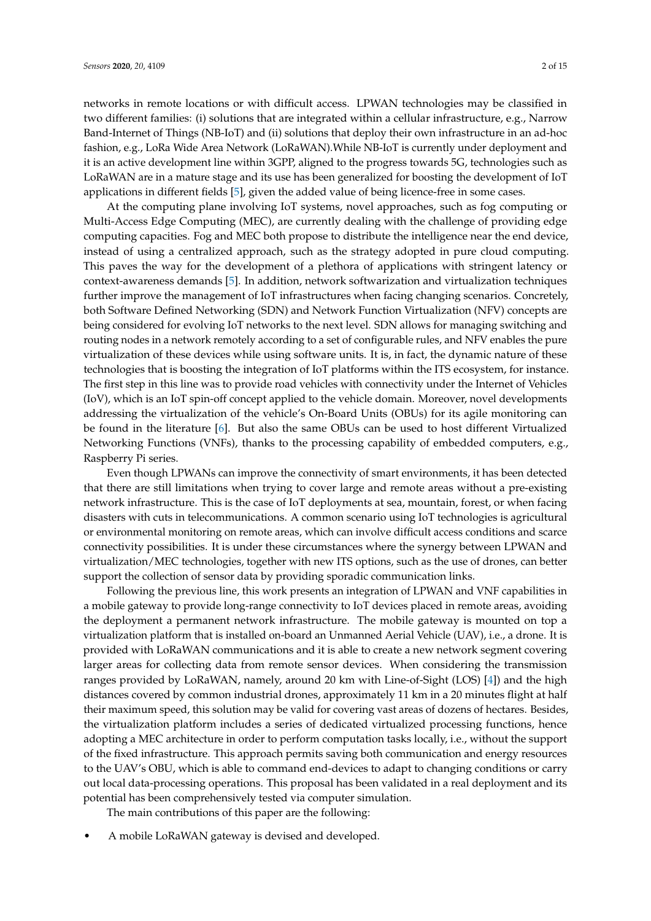networks in remote locations or with difficult access. LPWAN technologies may be classified in two different families: (i) solutions that are integrated within a cellular infrastructure, e.g., Narrow Band-Internet of Things (NB-IoT) and (ii) solutions that deploy their own infrastructure in an ad-hoc fashion, e.g., LoRa Wide Area Network (LoRaWAN).While NB-IoT is currently under deployment and it is an active development line within 3GPP, aligned to the progress towards 5G, technologies such as LoRaWAN are in a mature stage and its use has been generalized for boosting the development of IoT applications in different fields [\[5\]](#page-13-4), given the added value of being licence-free in some cases.

At the computing plane involving IoT systems, novel approaches, such as fog computing or Multi-Access Edge Computing (MEC), are currently dealing with the challenge of providing edge computing capacities. Fog and MEC both propose to distribute the intelligence near the end device, instead of using a centralized approach, such as the strategy adopted in pure cloud computing. This paves the way for the development of a plethora of applications with stringent latency or context-awareness demands [\[5\]](#page-13-4). In addition, network softwarization and virtualization techniques further improve the management of IoT infrastructures when facing changing scenarios. Concretely, both Software Defined Networking (SDN) and Network Function Virtualization (NFV) concepts are being considered for evolving IoT networks to the next level. SDN allows for managing switching and routing nodes in a network remotely according to a set of configurable rules, and NFV enables the pure virtualization of these devices while using software units. It is, in fact, the dynamic nature of these technologies that is boosting the integration of IoT platforms within the ITS ecosystem, for instance. The first step in this line was to provide road vehicles with connectivity under the Internet of Vehicles (IoV), which is an IoT spin-off concept applied to the vehicle domain. Moreover, novel developments addressing the virtualization of the vehicle's On-Board Units (OBUs) for its agile monitoring can be found in the literature [\[6\]](#page-13-5). But also the same OBUs can be used to host different Virtualized Networking Functions (VNFs), thanks to the processing capability of embedded computers, e.g., Raspberry Pi series.

Even though LPWANs can improve the connectivity of smart environments, it has been detected that there are still limitations when trying to cover large and remote areas without a pre-existing network infrastructure. This is the case of IoT deployments at sea, mountain, forest, or when facing disasters with cuts in telecommunications. A common scenario using IoT technologies is agricultural or environmental monitoring on remote areas, which can involve difficult access conditions and scarce connectivity possibilities. It is under these circumstances where the synergy between LPWAN and virtualization/MEC technologies, together with new ITS options, such as the use of drones, can better support the collection of sensor data by providing sporadic communication links.

Following the previous line, this work presents an integration of LPWAN and VNF capabilities in a mobile gateway to provide long-range connectivity to IoT devices placed in remote areas, avoiding the deployment a permanent network infrastructure. The mobile gateway is mounted on top a virtualization platform that is installed on-board an Unmanned Aerial Vehicle (UAV), i.e., a drone. It is provided with LoRaWAN communications and it is able to create a new network segment covering larger areas for collecting data from remote sensor devices. When considering the transmission ranges provided by LoRaWAN, namely, around 20 km with Line-of-Sight (LOS) [\[4\]](#page-13-3)) and the high distances covered by common industrial drones, approximately 11 km in a 20 minutes flight at half their maximum speed, this solution may be valid for covering vast areas of dozens of hectares. Besides, the virtualization platform includes a series of dedicated virtualized processing functions, hence adopting a MEC architecture in order to perform computation tasks locally, i.e., without the support of the fixed infrastructure. This approach permits saving both communication and energy resources to the UAV's OBU, which is able to command end-devices to adapt to changing conditions or carry out local data-processing operations. This proposal has been validated in a real deployment and its potential has been comprehensively tested via computer simulation.

The main contributions of this paper are the following:

• A mobile LoRaWAN gateway is devised and developed.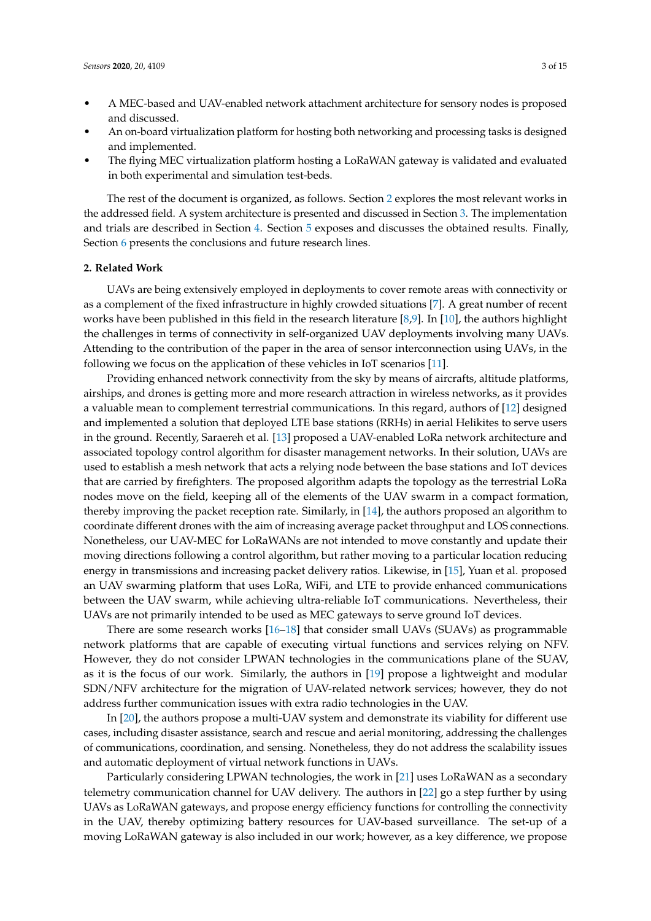- A MEC-based and UAV-enabled network attachment architecture for sensory nodes is proposed and discussed.
- An on-board virtualization platform for hosting both networking and processing tasks is designed and implemented.
- The flying MEC virtualization platform hosting a LoRaWAN gateway is validated and evaluated in both experimental and simulation test-beds.

The rest of the document is organized, as follows. Section [2](#page-2-0) explores the most relevant works in the addressed field. A system architecture is presented and discussed in Section [3.](#page-3-0) The implementation and trials are described in Section [4.](#page-4-0) Section [5](#page-9-0) exposes and discusses the obtained results. Finally, Section [6](#page-12-0) presents the conclusions and future research lines.

#### <span id="page-2-0"></span>**2. Related Work**

UAVs are being extensively employed in deployments to cover remote areas with connectivity or as a complement of the fixed infrastructure in highly crowded situations [\[7\]](#page-13-6). A great number of recent works have been published in this field in the research literature [\[8](#page-13-7)[,9\]](#page-13-8). In [\[10\]](#page-13-9), the authors highlight the challenges in terms of connectivity in self-organized UAV deployments involving many UAVs. Attending to the contribution of the paper in the area of sensor interconnection using UAVs, in the following we focus on the application of these vehicles in IoT scenarios [\[11\]](#page-13-10).

Providing enhanced network connectivity from the sky by means of aircrafts, altitude platforms, airships, and drones is getting more and more research attraction in wireless networks, as it provides a valuable mean to complement terrestrial communications. In this regard, authors of [\[12\]](#page-13-11) designed and implemented a solution that deployed LTE base stations (RRHs) in aerial Helikites to serve users in the ground. Recently, Saraereh et al. [\[13\]](#page-13-12) proposed a UAV-enabled LoRa network architecture and associated topology control algorithm for disaster management networks. In their solution, UAVs are used to establish a mesh network that acts a relying node between the base stations and IoT devices that are carried by firefighters. The proposed algorithm adapts the topology as the terrestrial LoRa nodes move on the field, keeping all of the elements of the UAV swarm in a compact formation, thereby improving the packet reception rate. Similarly, in [\[14\]](#page-13-13), the authors proposed an algorithm to coordinate different drones with the aim of increasing average packet throughput and LOS connections. Nonetheless, our UAV-MEC for LoRaWANs are not intended to move constantly and update their moving directions following a control algorithm, but rather moving to a particular location reducing energy in transmissions and increasing packet delivery ratios. Likewise, in [\[15\]](#page-13-14), Yuan et al. proposed an UAV swarming platform that uses LoRa, WiFi, and LTE to provide enhanced communications between the UAV swarm, while achieving ultra-reliable IoT communications. Nevertheless, their UAVs are not primarily intended to be used as MEC gateways to serve ground IoT devices.

There are some research works [\[16](#page-13-15)[–18\]](#page-13-16) that consider small UAVs (SUAVs) as programmable network platforms that are capable of executing virtual functions and services relying on NFV. However, they do not consider LPWAN technologies in the communications plane of the SUAV, as it is the focus of our work. Similarly, the authors in [\[19\]](#page-13-17) propose a lightweight and modular SDN/NFV architecture for the migration of UAV-related network services; however, they do not address further communication issues with extra radio technologies in the UAV.

In [\[20\]](#page-14-0), the authors propose a multi-UAV system and demonstrate its viability for different use cases, including disaster assistance, search and rescue and aerial monitoring, addressing the challenges of communications, coordination, and sensing. Nonetheless, they do not address the scalability issues and automatic deployment of virtual network functions in UAVs.

Particularly considering LPWAN technologies, the work in [\[21\]](#page-14-1) uses LoRaWAN as a secondary telemetry communication channel for UAV delivery. The authors in [\[22\]](#page-14-2) go a step further by using UAVs as LoRaWAN gateways, and propose energy efficiency functions for controlling the connectivity in the UAV, thereby optimizing battery resources for UAV-based surveillance. The set-up of a moving LoRaWAN gateway is also included in our work; however, as a key difference, we propose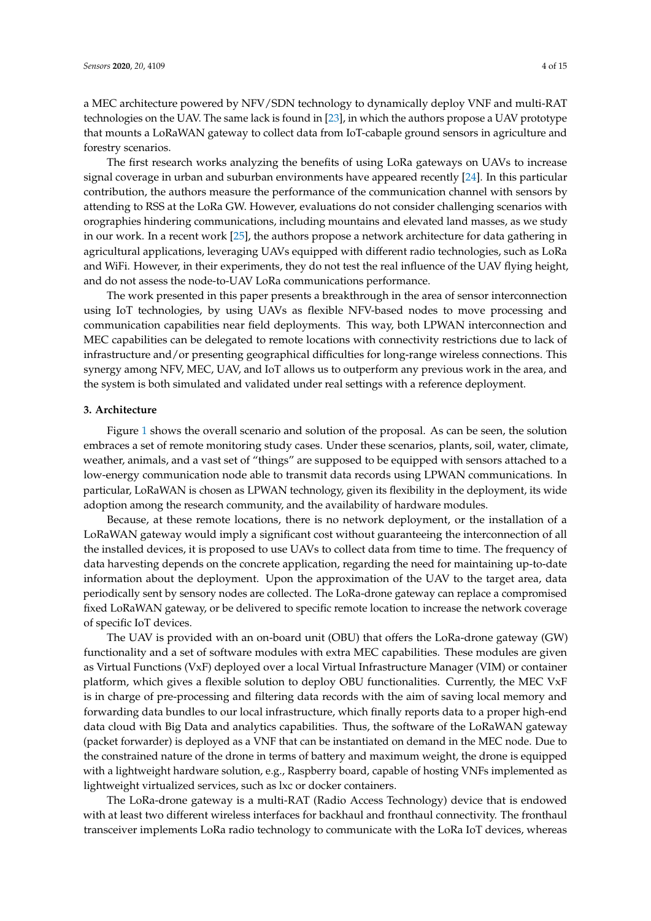a MEC architecture powered by NFV/SDN technology to dynamically deploy VNF and multi-RAT technologies on the UAV. The same lack is found in [\[23\]](#page-14-3), in which the authors propose a UAV prototype that mounts a LoRaWAN gateway to collect data from IoT-cabaple ground sensors in agriculture and forestry scenarios.

The first research works analyzing the benefits of using LoRa gateways on UAVs to increase signal coverage in urban and suburban environments have appeared recently [\[24\]](#page-14-4). In this particular contribution, the authors measure the performance of the communication channel with sensors by attending to RSS at the LoRa GW. However, evaluations do not consider challenging scenarios with orographies hindering communications, including mountains and elevated land masses, as we study in our work. In a recent work [\[25\]](#page-14-5), the authors propose a network architecture for data gathering in agricultural applications, leveraging UAVs equipped with different radio technologies, such as LoRa and WiFi. However, in their experiments, they do not test the real influence of the UAV flying height, and do not assess the node-to-UAV LoRa communications performance.

The work presented in this paper presents a breakthrough in the area of sensor interconnection using IoT technologies, by using UAVs as flexible NFV-based nodes to move processing and communication capabilities near field deployments. This way, both LPWAN interconnection and MEC capabilities can be delegated to remote locations with connectivity restrictions due to lack of infrastructure and/or presenting geographical difficulties for long-range wireless connections. This synergy among NFV, MEC, UAV, and IoT allows us to outperform any previous work in the area, and the system is both simulated and validated under real settings with a reference deployment.

#### <span id="page-3-0"></span>**3. Architecture**

Figure [1](#page-4-1) shows the overall scenario and solution of the proposal. As can be seen, the solution embraces a set of remote monitoring study cases. Under these scenarios, plants, soil, water, climate, weather, animals, and a vast set of "things" are supposed to be equipped with sensors attached to a low-energy communication node able to transmit data records using LPWAN communications. In particular, LoRaWAN is chosen as LPWAN technology, given its flexibility in the deployment, its wide adoption among the research community, and the availability of hardware modules.

Because, at these remote locations, there is no network deployment, or the installation of a LoRaWAN gateway would imply a significant cost without guaranteeing the interconnection of all the installed devices, it is proposed to use UAVs to collect data from time to time. The frequency of data harvesting depends on the concrete application, regarding the need for maintaining up-to-date information about the deployment. Upon the approximation of the UAV to the target area, data periodically sent by sensory nodes are collected. The LoRa-drone gateway can replace a compromised fixed LoRaWAN gateway, or be delivered to specific remote location to increase the network coverage of specific IoT devices.

The UAV is provided with an on-board unit (OBU) that offers the LoRa-drone gateway (GW) functionality and a set of software modules with extra MEC capabilities. These modules are given as Virtual Functions (VxF) deployed over a local Virtual Infrastructure Manager (VIM) or container platform, which gives a flexible solution to deploy OBU functionalities. Currently, the MEC VxF is in charge of pre-processing and filtering data records with the aim of saving local memory and forwarding data bundles to our local infrastructure, which finally reports data to a proper high-end data cloud with Big Data and analytics capabilities. Thus, the software of the LoRaWAN gateway (packet forwarder) is deployed as a VNF that can be instantiated on demand in the MEC node. Due to the constrained nature of the drone in terms of battery and maximum weight, the drone is equipped with a lightweight hardware solution, e.g., Raspberry board, capable of hosting VNFs implemented as lightweight virtualized services, such as lxc or docker containers.

The LoRa-drone gateway is a multi-RAT (Radio Access Technology) device that is endowed with at least two different wireless interfaces for backhaul and fronthaul connectivity. The fronthaul transceiver implements LoRa radio technology to communicate with the LoRa IoT devices, whereas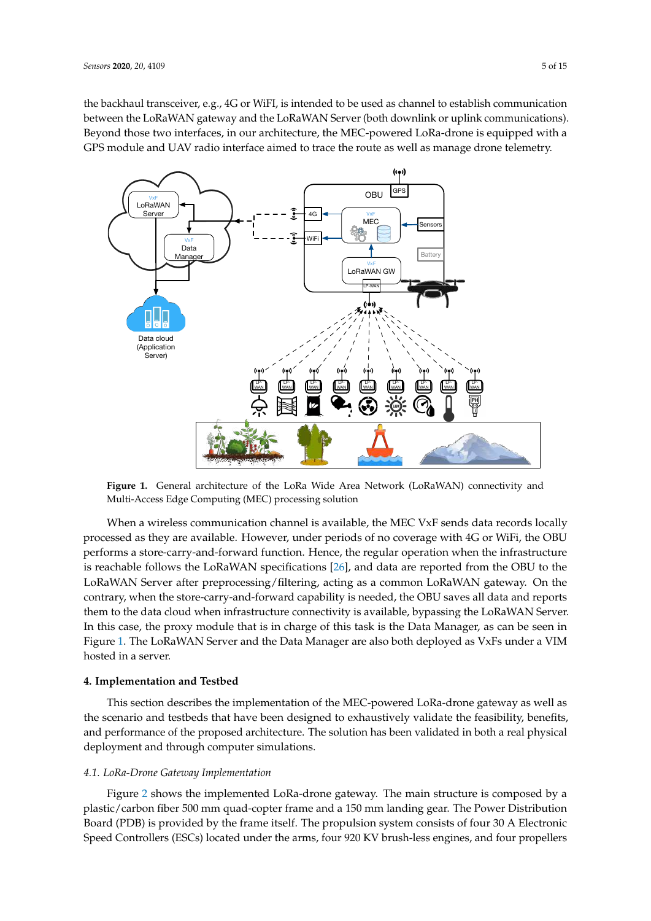the backhaul transceiver, e.g., 4G or WiFI, is intended to be used as channel to establish communication between the LoRaWAN gateway and the LoRaWAN Server (both downlink or uplink communications). Beyond those two interfaces, in our architecture, the MEC-powered LoRa-drone is equipped with a GPS module and UAV radio interface aimed to trace the route as well as manage drone telemetry.

<span id="page-4-1"></span>

**Figure 1.** General architecture of the LoRa Wide Area Network (LoRaWAN) connectivity and Multi-Access Edge Computing (MEC) processing solution

When a wireless communication channel is available, the MEC VxF sends data records locally processed as they are available. However, under periods of no coverage with 4G or WiFi, the OBU performs a store-carry-and-forward function. Hence, the regular operation when the infrastructure is reachable follows the LoRaWAN specifications [\[26\]](#page-14-6), and data are reported from the OBU to the LoRaWAN Server after preprocessing/filtering, acting as a common LoRaWAN gateway. On the contrary, when the store-carry-and-forward capability is needed, the OBU saves all data and reports them to the data cloud when infrastructure connectivity is available, bypassing the LoRaWAN Server. In this case, the proxy module that is in charge of this task is the Data Manager, as can be seen in Figure [1.](#page-4-1) The LoRaWAN Server and the Data Manager are also both deployed as VxFs under a VIM hosted in a server.

## <span id="page-4-0"></span>**4. Implementation and Testbed**

This section describes the implementation of the MEC-powered LoRa-drone gateway as well as the scenario and testbeds that have been designed to exhaustively validate the feasibility, benefits, and performance of the proposed architecture. The solution has been validated in both a real physical deployment and through computer simulations.

## *4.1. LoRa-Drone Gateway Implementation*

Figure [2](#page-5-0) shows the implemented LoRa-drone gateway. The main structure is composed by a plastic/carbon fiber 500 mm quad-copter frame and a 150 mm landing gear. The Power Distribution Board (PDB) is provided by the frame itself. The propulsion system consists of four 30 A Electronic Speed Controllers (ESCs) located under the arms, four 920 KV brush-less engines, and four propellers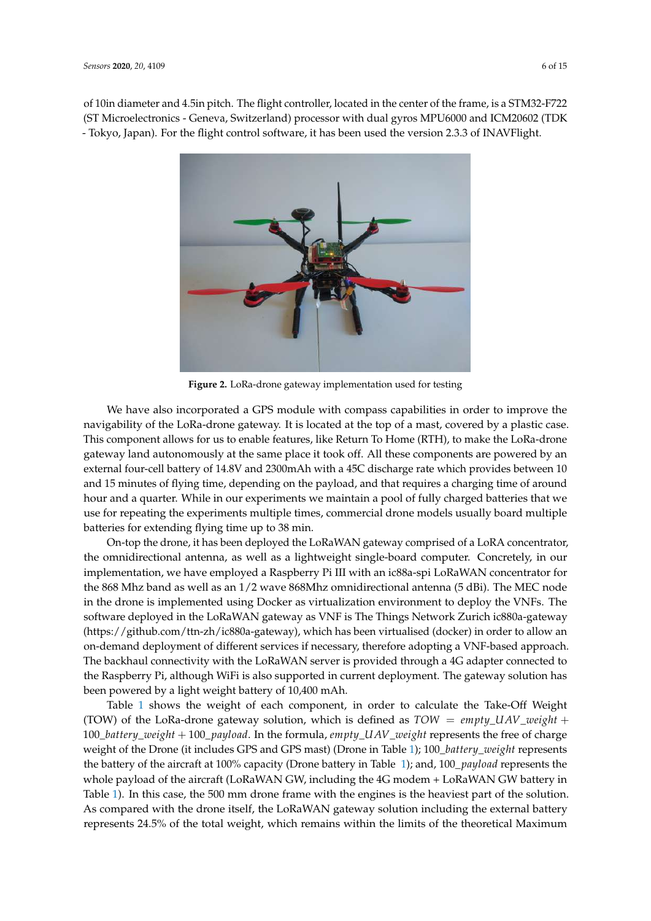<span id="page-5-0"></span>of 10in diameter and 4.5in pitch. The flight controller, located in the center of the frame, is a STM32-F722 (ST Microelectronics - Geneva, Switzerland) processor with dual gyros MPU6000 and ICM20602 (TDK - Tokyo, Japan). For the flight control software, it has been used the version 2.3.3 of INAVFlight.



**Figure 2.** LoRa-drone gateway implementation used for testing

We have also incorporated a GPS module with compass capabilities in order to improve the navigability of the LoRa-drone gateway. It is located at the top of a mast, covered by a plastic case. This component allows for us to enable features, like Return To Home (RTH), to make the LoRa-drone gateway land autonomously at the same place it took off. All these components are powered by an external four-cell battery of 14.8V and 2300mAh with a 45C discharge rate which provides between 10 and 15 minutes of flying time, depending on the payload, and that requires a charging time of around hour and a quarter. While in our experiments we maintain a pool of fully charged batteries that we use for repeating the experiments multiple times, commercial drone models usually board multiple batteries for extending flying time up to 38 min.

On-top the drone, it has been deployed the LoRaWAN gateway comprised of a LoRA concentrator, the omnidirectional antenna, as well as a lightweight single-board computer. Concretely, in our implementation, we have employed a Raspberry Pi III with an ic88a-spi LoRaWAN concentrator for the 868 Mhz band as well as an 1/2 wave 868Mhz omnidirectional antenna (5 dBi). The MEC node in the drone is implemented using Docker as virtualization environment to deploy the VNFs. The software deployed in the LoRaWAN gateway as VNF is The Things Network Zurich ic880a-gateway (https://github.com/ttn-zh/ic880a-gateway), which has been virtualised (docker) in order to allow an on-demand deployment of different services if necessary, therefore adopting a VNF-based approach. The backhaul connectivity with the LoRaWAN server is provided through a 4G adapter connected to the Raspberry Pi, although WiFi is also supported in current deployment. The gateway solution has been powered by a light weight battery of 10,400 mAh.

Table [1](#page-6-0) shows the weight of each component, in order to calculate the Take-Off Weight (TOW) of the LoRa-drone gateway solution, which is defined as  $TOW = empty\_UAV\_weight +$ 100\_*battery*\_*weight* + 100\_*payload*. In the formula, *empty*\_*UAV*\_*weight* represents the free of charge weight of the Drone (it includes GPS and GPS mast) (Drone in Table [1\)](#page-6-0); 100\_*battery*\_*weight* represents the battery of the aircraft at 100% capacity (Drone battery in Table [1\)](#page-6-0); and, 100\_*payload* represents the whole payload of the aircraft (LoRaWAN GW, including the 4G modem + LoRaWAN GW battery in Table [1\)](#page-6-0). In this case, the 500 mm drone frame with the engines is the heaviest part of the solution. As compared with the drone itself, the LoRaWAN gateway solution including the external battery represents 24.5% of the total weight, which remains within the limits of the theoretical Maximum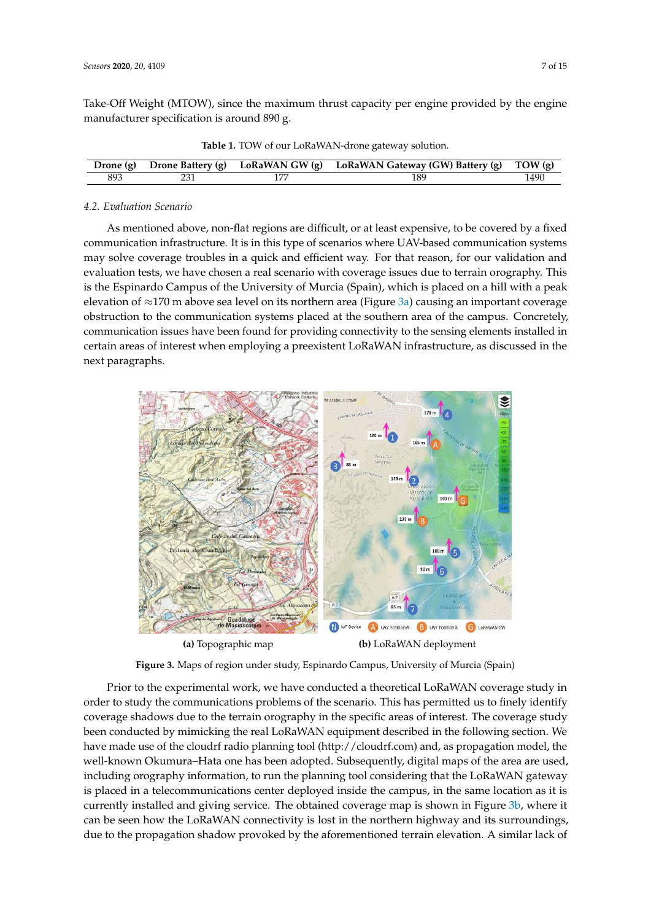Take-Off Weight (MTOW), since the maximum thrust capacity per engine provided by the engine manufacturer specification is around 890 g.

<span id="page-6-0"></span>

|     |  | Drone (g) Drone Battery (g) LoRaWAN GW (g) LoRaWAN Gateway (GW) Battery (g) TOW (g) |       |
|-----|--|-------------------------------------------------------------------------------------|-------|
| 893 |  |                                                                                     | 1490. |

**Table 1.** TOW of our LoRaWAN-drone gateway solution.

## *4.2. Evaluation Scenario*

As mentioned above, non-flat regions are difficult, or at least expensive, to be covered by a fixed communication infrastructure. It is in this type of scenarios where UAV-based communication systems may solve coverage troubles in a quick and efficient way. For that reason, for our validation and evaluation tests, we have chosen a real scenario with coverage issues due to terrain orography. This is the Espinardo Campus of the University of Murcia (Spain), which is placed on a hill with a peak elevation of ≈170 m above sea level on its northern area (Figure [3a\)](#page-6-1) causing an important coverage obstruction to the communication systems placed at the southern area of the campus. Concretely, communication issues have been found for providing connectivity to the sensing elements installed in certain areas of interest when employing a preexistent LoRaWAN infrastructure, as discussed in the next paragraphs.

<span id="page-6-3"></span><span id="page-6-1"></span>

<span id="page-6-2"></span>**(a)** Topographic map **(b)** LoRaWAN deployment

**Figure 3.** Maps of region under study, Espinardo Campus, University of Murcia (Spain)

Prior to the experimental work, we have conducted a theoretical LoRaWAN coverage study in order to study the communications problems of the scenario. This has permitted us to finely identify coverage shadows due to the terrain orography in the specific areas of interest. The coverage study been conducted by mimicking the real LoRaWAN equipment described in the following section. We have made use of the cloudrf radio planning tool (http://cloudrf.com) and, as propagation model, the well-known Okumura–Hata one has been adopted. Subsequently, digital maps of the area are used, including orography information, to run the planning tool considering that the LoRaWAN gateway is placed in a telecommunications center deployed inside the campus, in the same location as it is currently installed and giving service. The obtained coverage map is shown in Figure [3b,](#page-6-2) where it can be seen how the LoRaWAN connectivity is lost in the northern highway and its surroundings, due to the propagation shadow provoked by the aforementioned terrain elevation. A similar lack of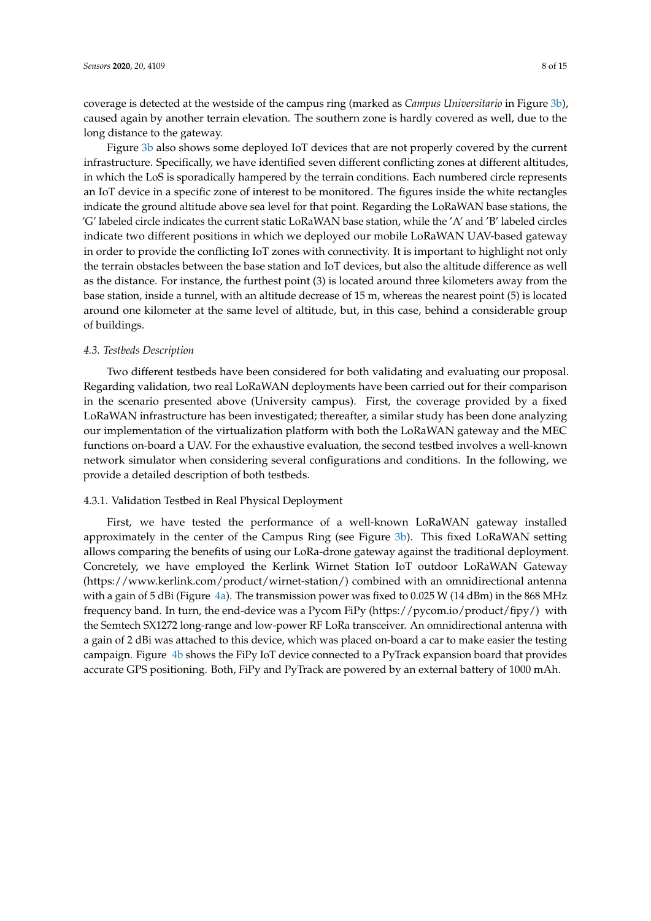coverage is detected at the westside of the campus ring (marked as *Campus Universitario* in Figure [3b\)](#page-6-2), caused again by another terrain elevation. The southern zone is hardly covered as well, due to the long distance to the gateway.

Figure [3b](#page-6-2) also shows some deployed IoT devices that are not properly covered by the current infrastructure. Specifically, we have identified seven different conflicting zones at different altitudes, in which the LoS is sporadically hampered by the terrain conditions. Each numbered circle represents an IoT device in a specific zone of interest to be monitored. The figures inside the white rectangles indicate the ground altitude above sea level for that point. Regarding the LoRaWAN base stations, the 'G' labeled circle indicates the current static LoRaWAN base station, while the 'A' and 'B' labeled circles indicate two different positions in which we deployed our mobile LoRaWAN UAV-based gateway in order to provide the conflicting IoT zones with connectivity. It is important to highlight not only the terrain obstacles between the base station and IoT devices, but also the altitude difference as well as the distance. For instance, the furthest point (3) is located around three kilometers away from the base station, inside a tunnel, with an altitude decrease of 15 m, whereas the nearest point (5) is located around one kilometer at the same level of altitude, but, in this case, behind a considerable group of buildings.

#### *4.3. Testbeds Description*

Two different testbeds have been considered for both validating and evaluating our proposal. Regarding validation, two real LoRaWAN deployments have been carried out for their comparison in the scenario presented above (University campus). First, the coverage provided by a fixed LoRaWAN infrastructure has been investigated; thereafter, a similar study has been done analyzing our implementation of the virtualization platform with both the LoRaWAN gateway and the MEC functions on-board a UAV. For the exhaustive evaluation, the second testbed involves a well-known network simulator when considering several configurations and conditions. In the following, we provide a detailed description of both testbeds.

## 4.3.1. Validation Testbed in Real Physical Deployment

First, we have tested the performance of a well-known LoRaWAN gateway installed approximately in the center of the Campus Ring (see Figure [3b\)](#page-6-2). This fixed LoRaWAN setting allows comparing the benefits of using our LoRa-drone gateway against the traditional deployment. Concretely, we have employed the Kerlink Wirnet Station IoT outdoor LoRaWAN Gateway (https://www.kerlink.com/product/wirnet-station/) combined with an omnidirectional antenna with a gain of 5 dBi (Figure [4a\)](#page-8-0). The transmission power was fixed to 0.025 W (14 dBm) in the 868 MHz frequency band. In turn, the end-device was a Pycom FiPy (https://pycom.io/product/fipy/) with the Semtech SX1272 long-range and low-power RF LoRa transceiver. An omnidirectional antenna with a gain of 2 dBi was attached to this device, which was placed on-board a car to make easier the testing campaign. Figure [4b](#page-8-1) shows the FiPy IoT device connected to a PyTrack expansion board that provides accurate GPS positioning. Both, FiPy and PyTrack are powered by an external battery of 1000 mAh.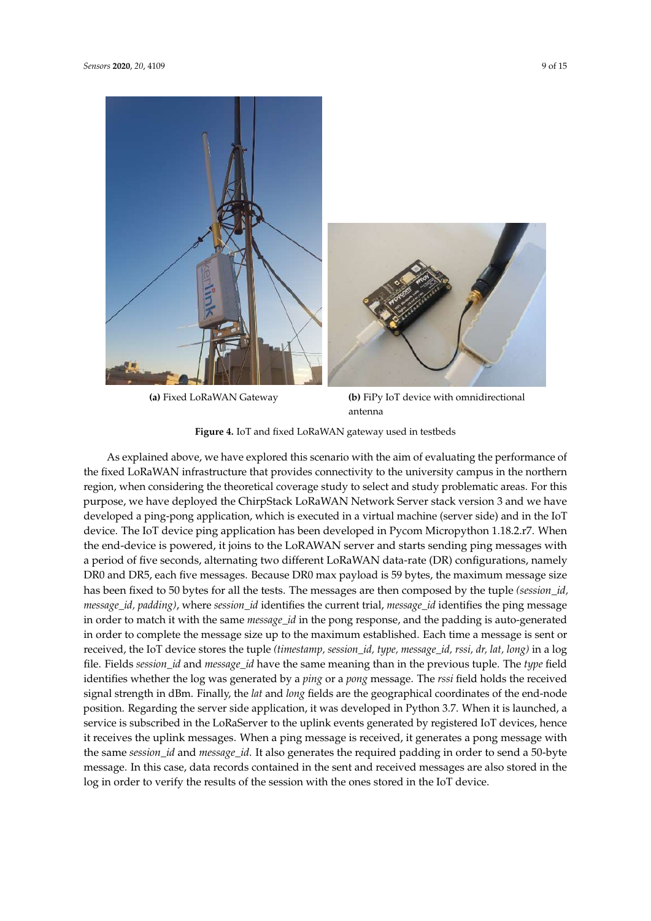<span id="page-8-0"></span>

**(a)** Fixed LoRaWAN Gateway **(b)** FiPy IoT device with omnidirectional antenna

<span id="page-8-1"></span>**Figure 4.** IoT and fixed LoRaWAN gateway used in testbeds

As explained above, we have explored this scenario with the aim of evaluating the performance of the fixed LoRaWAN infrastructure that provides connectivity to the university campus in the northern region, when considering the theoretical coverage study to select and study problematic areas. For this purpose, we have deployed the ChirpStack LoRaWAN Network Server stack version 3 and we have developed a ping-pong application, which is executed in a virtual machine (server side) and in the IoT device. The IoT device ping application has been developed in Pycom Micropython 1.18.2.r7. When the end-device is powered, it joins to the LoRAWAN server and starts sending ping messages with a period of five seconds, alternating two different LoRaWAN data-rate (DR) configurations, namely DR0 and DR5, each five messages. Because DR0 max payload is 59 bytes, the maximum message size has been fixed to 50 bytes for all the tests. The messages are then composed by the tuple *(session\_id, message\_id, padding)*, where *session\_id* identifies the current trial, *message\_id* identifies the ping message in order to match it with the same *message\_id* in the pong response, and the padding is auto-generated in order to complete the message size up to the maximum established. Each time a message is sent or received, the IoT device stores the tuple *(timestamp, session\_id, type, message\_id, rssi, dr, lat, long)* in a log file. Fields *session\_id* and *message\_id* have the same meaning than in the previous tuple. The *type* field identifies whether the log was generated by a *ping* or a *pong* message. The *rssi* field holds the received signal strength in dBm. Finally, the *lat* and *long* fields are the geographical coordinates of the end-node position. Regarding the server side application, it was developed in Python 3.7. When it is launched, a service is subscribed in the LoRaServer to the uplink events generated by registered IoT devices, hence it receives the uplink messages. When a ping message is received, it generates a pong message with the same *session\_id* and *message\_id*. It also generates the required padding in order to send a 50-byte message. In this case, data records contained in the sent and received messages are also stored in the log in order to verify the results of the session with the ones stored in the IoT device.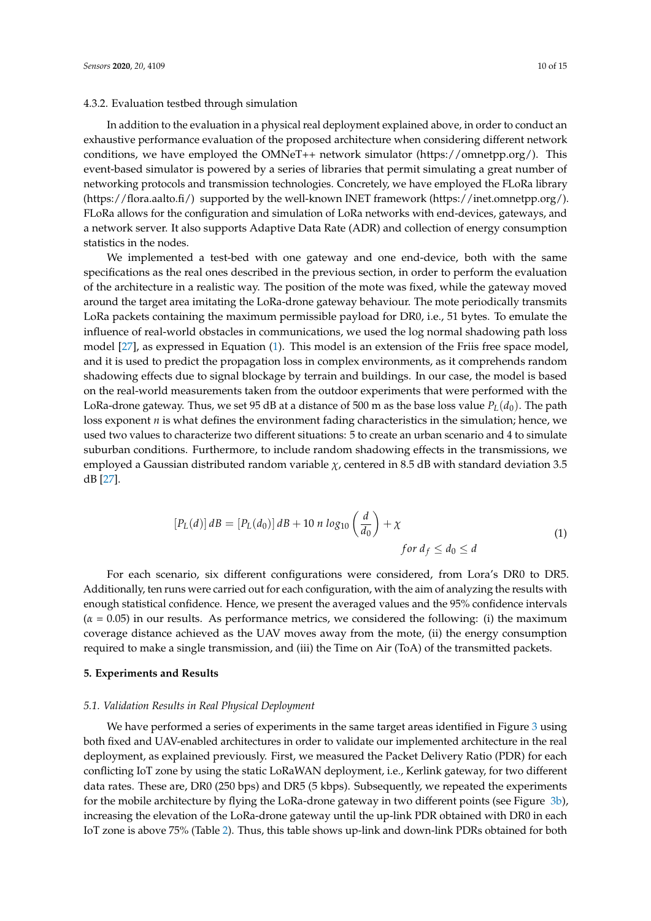#### 4.3.2. Evaluation testbed through simulation

In addition to the evaluation in a physical real deployment explained above, in order to conduct an exhaustive performance evaluation of the proposed architecture when considering different network conditions, we have employed the OMNeT++ network simulator (https://omnetpp.org/). This event-based simulator is powered by a series of libraries that permit simulating a great number of networking protocols and transmission technologies. Concretely, we have employed the FLoRa library (https://flora.aalto.fi/) supported by the well-known INET framework (https://inet.omnetpp.org/). FLoRa allows for the configuration and simulation of LoRa networks with end-devices, gateways, and a network server. It also supports Adaptive Data Rate (ADR) and collection of energy consumption statistics in the nodes.

We implemented a test-bed with one gateway and one end-device, both with the same specifications as the real ones described in the previous section, in order to perform the evaluation of the architecture in a realistic way. The position of the mote was fixed, while the gateway moved around the target area imitating the LoRa-drone gateway behaviour. The mote periodically transmits LoRa packets containing the maximum permissible payload for DR0, i.e., 51 bytes. To emulate the influence of real-world obstacles in communications, we used the log normal shadowing path loss model [\[27\]](#page-14-7), as expressed in Equation [\(1\)](#page-9-1). This model is an extension of the Friis free space model, and it is used to predict the propagation loss in complex environments, as it comprehends random shadowing effects due to signal blockage by terrain and buildings. In our case, the model is based on the real-world measurements taken from the outdoor experiments that were performed with the LoRa-drone gateway. Thus, we set 95 dB at a distance of 500 m as the base loss value  $P_L(d_0)$ . The path loss exponent *n* is what defines the environment fading characteristics in the simulation; hence, we used two values to characterize two different situations: 5 to create an urban scenario and 4 to simulate suburban conditions. Furthermore, to include random shadowing effects in the transmissions, we employed a Gaussian distributed random variable *χ*, centered in 8.5 dB with standard deviation 3.5 dB [\[27\]](#page-14-7).

$$
[P_L(d)]dB = [P_L(d_0)]dB + 10 n log_{10} \left(\frac{d}{d_0}\right) + \chi
$$
  
for  $d_f \leq d_0 \leq d$  (1)

<span id="page-9-1"></span>For each scenario, six different configurations were considered, from Lora's DR0 to DR5. Additionally, ten runs were carried out for each configuration, with the aim of analyzing the results with enough statistical confidence. Hence, we present the averaged values and the 95% confidence intervals (*α* = 0.05) in our results. As performance metrics, we considered the following: (i) the maximum coverage distance achieved as the UAV moves away from the mote, (ii) the energy consumption required to make a single transmission, and (iii) the Time on Air (ToA) of the transmitted packets.

## <span id="page-9-0"></span>**5. Experiments and Results**

#### *5.1. Validation Results in Real Physical Deployment*

We have performed a series of experiments in the same target areas identified in Figure [3](#page-6-3) using both fixed and UAV-enabled architectures in order to validate our implemented architecture in the real deployment, as explained previously. First, we measured the Packet Delivery Ratio (PDR) for each conflicting IoT zone by using the static LoRaWAN deployment, i.e., Kerlink gateway, for two different data rates. These are, DR0 (250 bps) and DR5 (5 kbps). Subsequently, we repeated the experiments for the mobile architecture by flying the LoRa-drone gateway in two different points (see Figure [3b\)](#page-6-2), increasing the elevation of the LoRa-drone gateway until the up-link PDR obtained with DR0 in each IoT zone is above 75% (Table [2\)](#page-10-0). Thus, this table shows up-link and down-link PDRs obtained for both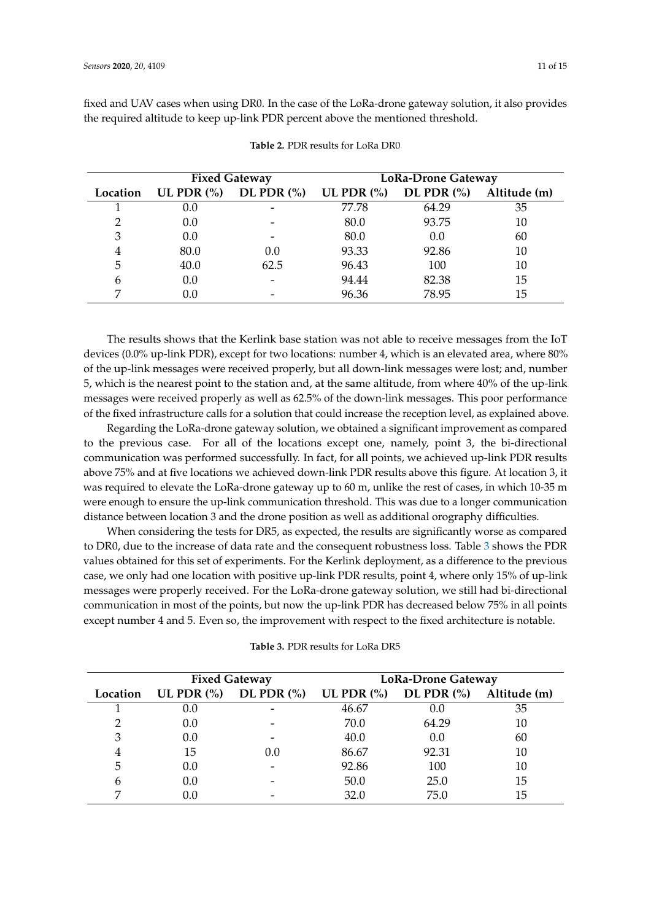<span id="page-10-0"></span>fixed and UAV cases when using DR0. In the case of the LoRa-drone gateway solution, it also provides the required altitude to keep up-link PDR percent above the mentioned threshold.

|          | <b>Fixed Gateway</b> |                |                | <b>LoRa-Drone Gateway</b> |              |  |
|----------|----------------------|----------------|----------------|---------------------------|--------------|--|
| Location | UL PDR $(\% )$       | DL PDR $(\% )$ | UL PDR $(\% )$ | DL PDR $(\% )$            | Altitude (m) |  |
|          | 0.0                  |                | 77.78          | 64.29                     | 35           |  |
| 2        | 0.0                  |                | 80.0           | 93.75                     | 10           |  |
| 3        | 0.0                  |                | 80.0           | 0.0                       | 60           |  |
| 4        | 80.0                 | 0.0            | 93.33          | 92.86                     | 10           |  |
| 5        | 40.0                 | 62.5           | 96.43          | 100                       | 10           |  |
| 6        | 0.0                  |                | 94.44          | 82.38                     | 15           |  |
|          | 0.0                  |                | 96.36          | 78.95                     | 15           |  |

**Table 2.** PDR results for LoRa DR0

The results shows that the Kerlink base station was not able to receive messages from the IoT devices (0.0% up-link PDR), except for two locations: number 4, which is an elevated area, where 80% of the up-link messages were received properly, but all down-link messages were lost; and, number 5, which is the nearest point to the station and, at the same altitude, from where 40% of the up-link messages were received properly as well as 62.5% of the down-link messages. This poor performance of the fixed infrastructure calls for a solution that could increase the reception level, as explained above.

Regarding the LoRa-drone gateway solution, we obtained a significant improvement as compared to the previous case. For all of the locations except one, namely, point 3, the bi-directional communication was performed successfully. In fact, for all points, we achieved up-link PDR results above 75% and at five locations we achieved down-link PDR results above this figure. At location 3, it was required to elevate the LoRa-drone gateway up to 60 m, unlike the rest of cases, in which 10-35 m were enough to ensure the up-link communication threshold. This was due to a longer communication distance between location 3 and the drone position as well as additional orography difficulties.

When considering the tests for DR5, as expected, the results are significantly worse as compared to DR0, due to the increase of data rate and the consequent robustness loss. Table [3](#page-10-1) shows the PDR values obtained for this set of experiments. For the Kerlink deployment, as a difference to the previous case, we only had one location with positive up-link PDR results, point 4, where only 15% of up-link messages were properly received. For the LoRa-drone gateway solution, we still had bi-directional communication in most of the points, but now the up-link PDR has decreased below 75% in all points except number 4 and 5. Even so, the improvement with respect to the fixed architecture is notable.

<span id="page-10-1"></span>

|          |                | <b>Fixed Gateway</b> | <b>LoRa-Drone Gateway</b> |                  |              |
|----------|----------------|----------------------|---------------------------|------------------|--------------|
| Location | UL PDR $(\% )$ | DL PDR $(\% )$       | UL PDR $(\% )$            | $DL$ PDR $(\%$ ) | Altitude (m) |
|          | 0.0            |                      | 46.67                     | 0.0              | 35           |
|          | 0.0            |                      | 70.0                      | 64.29            | 10           |
| 3        | 0.0            |                      | 40.0                      | 0.0              | 60           |
| 4        | 15             | 0.0                  | 86.67                     | 92.31            | 10           |
| 5        | 0.0            |                      | 92.86                     | 100              | 10           |
| 6        | 0.0            |                      | 50.0                      | 25.0             | 15           |
|          | 0.0            |                      | 32.0                      | 75.0             | 15           |

**Table 3.** PDR results for LoRa DR5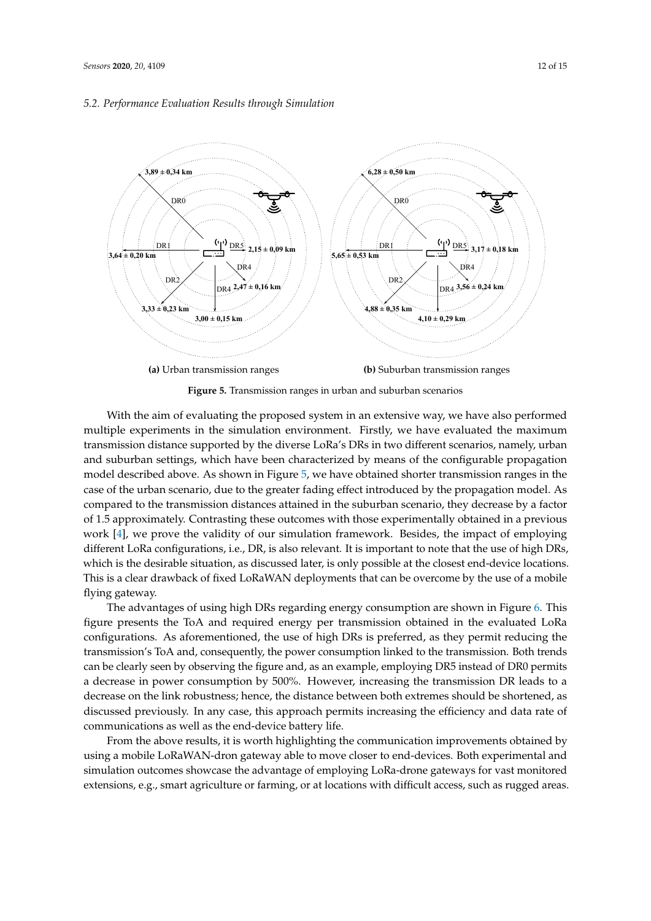## <span id="page-11-0"></span>*5.2. Performance Evaluation Results through Simulation*



**Figure 5.** Transmission ranges in urban and suburban scenarios

With the aim of evaluating the proposed system in an extensive way, we have also performed multiple experiments in the simulation environment. Firstly, we have evaluated the maximum transmission distance supported by the diverse LoRa's DRs in two different scenarios, namely, urban and suburban settings, which have been characterized by means of the configurable propagation model described above. As shown in Figure [5,](#page-11-0) we have obtained shorter transmission ranges in the case of the urban scenario, due to the greater fading effect introduced by the propagation model. As compared to the transmission distances attained in the suburban scenario, they decrease by a factor of 1.5 approximately. Contrasting these outcomes with those experimentally obtained in a previous work [\[4\]](#page-13-3), we prove the validity of our simulation framework. Besides, the impact of employing different LoRa configurations, i.e., DR, is also relevant. It is important to note that the use of high DRs, which is the desirable situation, as discussed later, is only possible at the closest end-device locations. This is a clear drawback of fixed LoRaWAN deployments that can be overcome by the use of a mobile flying gateway.

The advantages of using high DRs regarding energy consumption are shown in Figure [6.](#page-12-1) This figure presents the ToA and required energy per transmission obtained in the evaluated LoRa configurations. As aforementioned, the use of high DRs is preferred, as they permit reducing the transmission's ToA and, consequently, the power consumption linked to the transmission. Both trends can be clearly seen by observing the figure and, as an example, employing DR5 instead of DR0 permits a decrease in power consumption by 500%. However, increasing the transmission DR leads to a decrease on the link robustness; hence, the distance between both extremes should be shortened, as discussed previously. In any case, this approach permits increasing the efficiency and data rate of communications as well as the end-device battery life.

From the above results, it is worth highlighting the communication improvements obtained by using a mobile LoRaWAN-dron gateway able to move closer to end-devices. Both experimental and simulation outcomes showcase the advantage of employing LoRa-drone gateways for vast monitored extensions, e.g., smart agriculture or farming, or at locations with difficult access, such as rugged areas.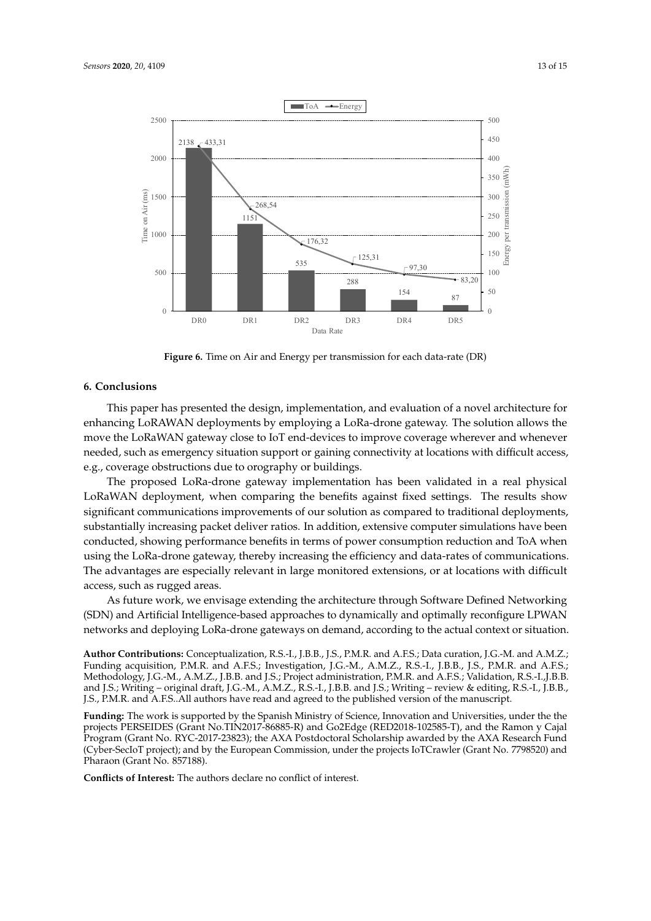<span id="page-12-1"></span>

**Figure 6.** Time on Air and Energy per transmission for each data-rate (DR)

## <span id="page-12-0"></span>**6. Conclusions**

This paper has presented the design, implementation, and evaluation of a novel architecture for enhancing LoRAWAN deployments by employing a LoRa-drone gateway. The solution allows the move the LoRaWAN gateway close to IoT end-devices to improve coverage wherever and whenever needed, such as emergency situation support or gaining connectivity at locations with difficult access, e.g., coverage obstructions due to orography or buildings.

The proposed LoRa-drone gateway implementation has been validated in a real physical LoRaWAN deployment, when comparing the benefits against fixed settings. The results show significant communications improvements of our solution as compared to traditional deployments, substantially increasing packet deliver ratios. In addition, extensive computer simulations have been conducted, showing performance benefits in terms of power consumption reduction and ToA when using the LoRa-drone gateway, thereby increasing the efficiency and data-rates of communications. The advantages are especially relevant in large monitored extensions, or at locations with difficult access, such as rugged areas.

As future work, we envisage extending the architecture through Software Defined Networking (SDN) and Artificial Intelligence-based approaches to dynamically and optimally reconfigure LPWAN networks and deploying LoRa-drone gateways on demand, according to the actual context or situation.

**Author Contributions:** Conceptualization, R.S.-I., J.B.B., J.S., P.M.R. and A.F.S.; Data curation, J.G.-M. and A.M.Z.; Funding acquisition, P.M.R. and A.F.S.; Investigation, J.G.-M., A.M.Z., R.S.-I., J.B.B., J.S., P.M.R. and A.F.S.; Methodology, J.G.-M., A.M.Z., J.B.B. and J.S.; Project administration, P.M.R. and A.F.S.; Validation, R.S.-I.,J.B.B. and J.S.; Writing – original draft, J.G.-M., A.M.Z., R.S.-I., J.B.B. and J.S.; Writing – review & editing, R.S.-I., J.B.B., J.S., P.M.R. and A.F.S..All authors have read and agreed to the published version of the manuscript.

**Funding:** The work is supported by the Spanish Ministry of Science, Innovation and Universities, under the the projects PERSEIDES (Grant No.TIN2017-86885-R) and Go2Edge (RED2018-102585-T), and the Ramon y Cajal Program (Grant No. RYC-2017-23823); the AXA Postdoctoral Scholarship awarded by the AXA Research Fund (Cyber-SecIoT project); and by the European Commission, under the projects IoTCrawler (Grant No. 7798520) and Pharaon (Grant No. 857188).

**Conflicts of Interest:** The authors declare no conflict of interest.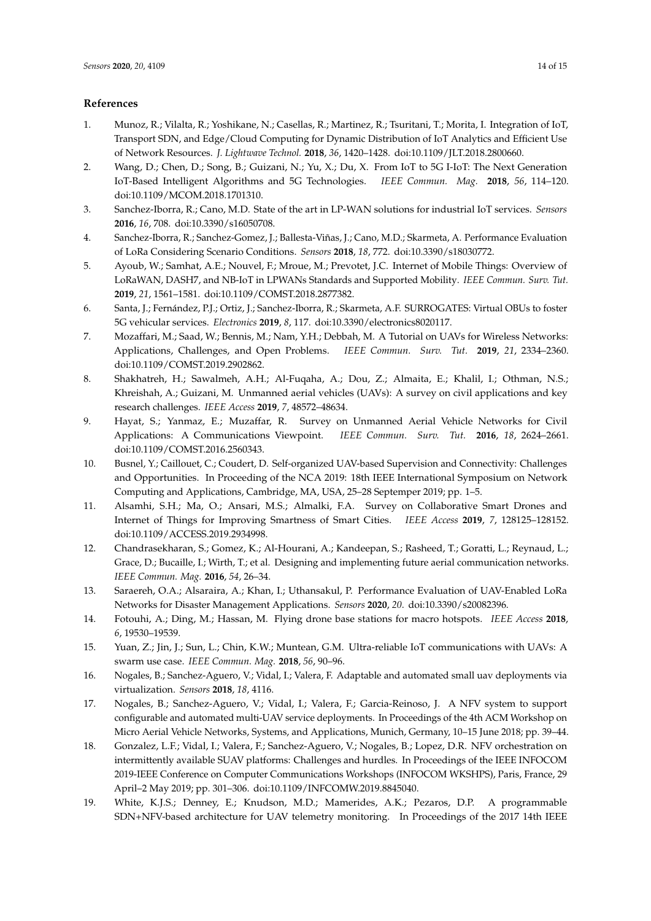## **References**

- <span id="page-13-0"></span>1. Munoz, R.; Vilalta, R.; Yoshikane, N.; Casellas, R.; Martinez, R.; Tsuritani, T.; Morita, I. Integration of IoT, Transport SDN, and Edge/Cloud Computing for Dynamic Distribution of IoT Analytics and Efficient Use of Network Resources. *J. Lightwave Technol.* **2018**, *36*, 1420–1428. doi[:10.1109/JLT.2018.2800660.](https://doi.org/10.1109/JLT.2018.2800660)
- <span id="page-13-1"></span>2. Wang, D.; Chen, D.; Song, B.; Guizani, N.; Yu, X.; Du, X. From IoT to 5G I-IoT: The Next Generation IoT-Based Intelligent Algorithms and 5G Technologies. *IEEE Commun. Mag.* **2018**, *56*, 114–120. doi[:10.1109/MCOM.2018.1701310.](https://doi.org/10.1109/MCOM.2018.1701310)
- <span id="page-13-2"></span>3. Sanchez-Iborra, R.; Cano, M.D. State of the art in LP-WAN solutions for industrial IoT services. *Sensors* **2016**, *16*, 708. doi[:10.3390/s16050708.](https://doi.org/10.3390/s16050708)
- <span id="page-13-3"></span>4. Sanchez-Iborra, R.; Sanchez-Gomez, J.; Ballesta-Viñas, J.; Cano, M.D.; Skarmeta, A. Performance Evaluation of LoRa Considering Scenario Conditions. *Sensors* **2018**, *18*, 772. doi[:10.3390/s18030772.](https://doi.org/10.3390/s18030772)
- <span id="page-13-4"></span>5. Ayoub, W.; Samhat, A.E.; Nouvel, F.; Mroue, M.; Prevotet, J.C. Internet of Mobile Things: Overview of LoRaWAN, DASH7, and NB-IoT in LPWANs Standards and Supported Mobility. *IEEE Commun. Surv. Tut.* **2019**, *21*, 1561–1581. doi[:10.1109/COMST.2018.2877382.](https://doi.org/10.1109/COMST.2018.2877382)
- <span id="page-13-5"></span>6. Santa, J.; Fernández, P.J.; Ortiz, J.; Sanchez-Iborra, R.; Skarmeta, A.F. SURROGATES: Virtual OBUs to foster 5G vehicular services. *Electronics* **2019**, *8*, 117. doi[:10.3390/electronics8020117.](https://doi.org/10.3390/electronics8020117)
- <span id="page-13-6"></span>7. Mozaffari, M.; Saad, W.; Bennis, M.; Nam, Y.H.; Debbah, M. A Tutorial on UAVs for Wireless Networks: Applications, Challenges, and Open Problems. *IEEE Commun. Surv. Tut.* **2019**, *21*, 2334–2360. doi[:10.1109/COMST.2019.2902862.](https://doi.org/10.1109/COMST.2019.2902862)
- <span id="page-13-7"></span>8. Shakhatreh, H.; Sawalmeh, A.H.; Al-Fuqaha, A.; Dou, Z.; Almaita, E.; Khalil, I.; Othman, N.S.; Khreishah, A.; Guizani, M. Unmanned aerial vehicles (UAVs): A survey on civil applications and key research challenges. *IEEE Access* **2019**, *7*, 48572–48634.
- <span id="page-13-8"></span>9. Hayat, S.; Yanmaz, E.; Muzaffar, R. Survey on Unmanned Aerial Vehicle Networks for Civil Applications: A Communications Viewpoint. *IEEE Commun. Surv. Tut.* **2016**, *18*, 2624–2661. doi[:10.1109/COMST.2016.2560343.](https://doi.org/10.1109/COMST.2016.2560343)
- <span id="page-13-9"></span>10. Busnel, Y.; Caillouet, C.; Coudert, D. Self-organized UAV-based Supervision and Connectivity: Challenges and Opportunities. In Proceeding of the NCA 2019: 18th IEEE International Symposium on Network Computing and Applications, Cambridge, MA, USA, 25–28 Septemper 2019; pp. 1–5.
- <span id="page-13-10"></span>11. Alsamhi, S.H.; Ma, O.; Ansari, M.S.; Almalki, F.A. Survey on Collaborative Smart Drones and Internet of Things for Improving Smartness of Smart Cities. *IEEE Access* **2019**, *7*, 128125–128152. doi[:10.1109/ACCESS.2019.2934998.](https://doi.org/10.1109/ACCESS.2019.2934998)
- <span id="page-13-11"></span>12. Chandrasekharan, S.; Gomez, K.; Al-Hourani, A.; Kandeepan, S.; Rasheed, T.; Goratti, L.; Reynaud, L.; Grace, D.; Bucaille, I.; Wirth, T.; et al. Designing and implementing future aerial communication networks. *IEEE Commun. Mag.* **2016**, *54*, 26–34.
- <span id="page-13-12"></span>13. Saraereh, O.A.; Alsaraira, A.; Khan, I.; Uthansakul, P. Performance Evaluation of UAV-Enabled LoRa Networks for Disaster Management Applications. *Sensors* **2020**, *20*. doi[:10.3390/s20082396.](https://doi.org/10.3390/s20082396)
- <span id="page-13-13"></span>14. Fotouhi, A.; Ding, M.; Hassan, M. Flying drone base stations for macro hotspots. *IEEE Access* **2018**, *6*, 19530–19539.
- <span id="page-13-14"></span>15. Yuan, Z.; Jin, J.; Sun, L.; Chin, K.W.; Muntean, G.M. Ultra-reliable IoT communications with UAVs: A swarm use case. *IEEE Commun. Mag.* **2018**, *56*, 90–96.
- <span id="page-13-15"></span>16. Nogales, B.; Sanchez-Aguero, V.; Vidal, I.; Valera, F. Adaptable and automated small uav deployments via virtualization. *Sensors* **2018**, *18*, 4116.
- 17. Nogales, B.; Sanchez-Aguero, V.; Vidal, I.; Valera, F.; Garcia-Reinoso, J. A NFV system to support configurable and automated multi-UAV service deployments. In Proceedings of the 4th ACM Workshop on Micro Aerial Vehicle Networks, Systems, and Applications, Munich, Germany, 10–15 June 2018; pp. 39–44.
- <span id="page-13-16"></span>18. Gonzalez, L.F.; Vidal, I.; Valera, F.; Sanchez-Aguero, V.; Nogales, B.; Lopez, D.R. NFV orchestration on intermittently available SUAV platforms: Challenges and hurdles. In Proceedings of the IEEE INFOCOM 2019-IEEE Conference on Computer Communications Workshops (INFOCOM WKSHPS), Paris, France, 29 April–2 May 2019; pp. 301–306. doi[:10.1109/INFCOMW.2019.8845040.](https://doi.org/10.1109/INFCOMW.2019.8845040)
- <span id="page-13-17"></span>19. White, K.J.S.; Denney, E.; Knudson, M.D.; Mamerides, A.K.; Pezaros, D.P. A programmable SDN+NFV-based architecture for UAV telemetry monitoring. In Proceedings of the 2017 14th IEEE